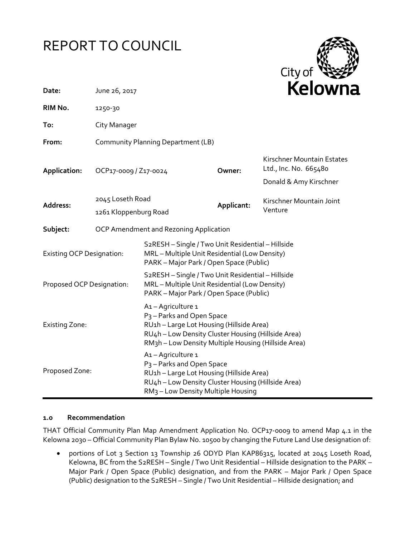# REPORT TO COUNCIL



| Date:                            | June 26, 2017                      |                                                                                                                                                                                                                    |            | Kelowna                                             |  |  |
|----------------------------------|------------------------------------|--------------------------------------------------------------------------------------------------------------------------------------------------------------------------------------------------------------------|------------|-----------------------------------------------------|--|--|
| RIM No.                          | 1250-30                            |                                                                                                                                                                                                                    |            |                                                     |  |  |
| To:                              | City Manager                       |                                                                                                                                                                                                                    |            |                                                     |  |  |
| From:                            | Community Planning Department (LB) |                                                                                                                                                                                                                    |            |                                                     |  |  |
| Application:                     | OCP17-0009 / Z17-0024              |                                                                                                                                                                                                                    | Owner:     | Kirschner Mountain Estates<br>Ltd., Inc. No. 665480 |  |  |
|                                  |                                    |                                                                                                                                                                                                                    |            | Donald & Amy Kirschner                              |  |  |
| Address:                         | 2045 Loseth Road                   |                                                                                                                                                                                                                    | Applicant: | Kirschner Mountain Joint                            |  |  |
|                                  | 1261 Kloppenburg Road              |                                                                                                                                                                                                                    |            | Venture                                             |  |  |
| Subject:                         |                                    | OCP Amendment and Rezoning Application                                                                                                                                                                             |            |                                                     |  |  |
| <b>Existing OCP Designation:</b> |                                    | S <sub>2</sub> RESH - Single / Two Unit Residential - Hillside<br>MRL - Multiple Unit Residential (Low Density)<br>PARK - Major Park / Open Space (Public)                                                         |            |                                                     |  |  |
| Proposed OCP Designation:        |                                    | S2RESH - Single / Two Unit Residential - Hillside<br>MRL - Multiple Unit Residential (Low Density)<br>PARK - Major Park / Open Space (Public)                                                                      |            |                                                     |  |  |
| <b>Existing Zone:</b>            |                                    | A1-Agriculture 1<br>P <sub>3</sub> - Parks and Open Space<br>RU1h - Large Lot Housing (Hillside Area)<br>RU4h - Low Density Cluster Housing (Hillside Area)<br>RM3h - Low Density Multiple Housing (Hillside Area) |            |                                                     |  |  |
| Proposed Zone:                   |                                    | A1-Agriculture 1<br>P <sub>3</sub> - Parks and Open Space<br>RU1h - Large Lot Housing (Hillside Area)<br>RU4h - Low Density Cluster Housing (Hillside Area)<br>RM <sub>3</sub> - Low Density Multiple Housing      |            |                                                     |  |  |

# **1.0 Recommendation**

THAT Official Community Plan Map Amendment Application No. OCP17-0009 to amend Map 4.1 in the Kelowna 2030 – Official Community Plan Bylaw No. 10500 by changing the Future Land Use designation of:

• portions of Lot 3 Section 13 Township 26 ODYD Plan KAP86315, located at 2045 Loseth Road, Kelowna, BC from the S2RESH – Single / Two Unit Residential – Hillside designation to the PARK – Major Park / Open Space (Public) designation, and from the PARK – Major Park / Open Space (Public) designation to the S2RESH – Single / Two Unit Residential – Hillside designation; and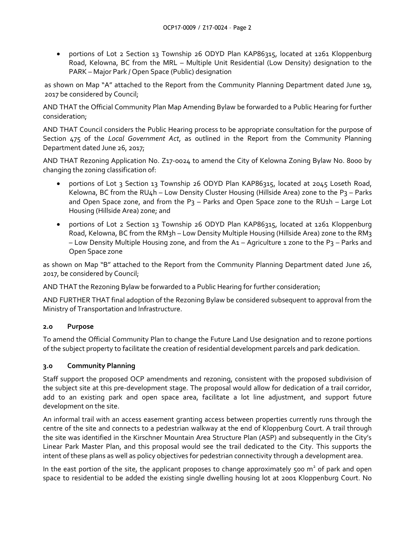• portions of Lot 2 Section 13 Township 26 ODYD Plan KAP86315, located at 1261 Kloppenburg Road, Kelowna, BC from the MRL – Multiple Unit Residential (Low Density) designation to the PARK – Major Park / Open Space (Public) designation

as shown on Map "A" attached to the Report from the Community Planning Department dated June 19, 2017 be considered by Council;

AND THAT the Official Community Plan Map Amending Bylaw be forwarded to a Public Hearing for further consideration;

AND THAT Council considers the Public Hearing process to be appropriate consultation for the purpose of Section 475 of the *Local Government Act*, as outlined in the Report from the Community Planning Department dated June 26, 2017;

AND THAT Rezoning Application No. Z17-0024 to amend the City of Kelowna Zoning Bylaw No. 8000 by changing the zoning classification of:

- portions of Lot 3 Section 13 Township 26 ODYD Plan KAP86315, located at 2045 Loseth Road, Kelowna, BC from the RU4h – Low Density Cluster Housing (Hillside Area) zone to the P3 – Parks and Open Space zone, and from the  $P_3$  – Parks and Open Space zone to the RU1h – Large Lot Housing (Hillside Area) zone; and
- portions of Lot 2 Section 13 Township 26 ODYD Plan KAP86315, located at 1261 Kloppenburg Road, Kelowna, BC from the RM3h – Low Density Multiple Housing (Hillside Area) zone to the RM3 – Low Density Multiple Housing zone, and from the A1 – Agriculture 1 zone to the P3 – Parks and Open Space zone

as shown on Map "B" attached to the Report from the Community Planning Department dated June 26, 2017, be considered by Council;

AND THAT the Rezoning Bylaw be forwarded to a Public Hearing for further consideration;

AND FURTHER THAT final adoption of the Rezoning Bylaw be considered subsequent to approval from the Ministry of Transportation and Infrastructure.

# **2.0 Purpose**

To amend the Official Community Plan to change the Future Land Use designation and to rezone portions of the subject property to facilitate the creation of residential development parcels and park dedication.

# **3.0 Community Planning**

Staff support the proposed OCP amendments and rezoning, consistent with the proposed subdivision of the subject site at this pre-development stage. The proposal would allow for dedication of a trail corridor, add to an existing park and open space area, facilitate a lot line adjustment, and support future development on the site.

An informal trail with an access easement granting access between properties currently runs through the centre of the site and connects to a pedestrian walkway at the end of Kloppenburg Court. A trail through the site was identified in the Kirschner Mountain Area Structure Plan (ASP) and subsequently in the City's Linear Park Master Plan, and this proposal would see the trail dedicated to the City. This supports the intent of these plans as well as policy objectives for pedestrian connectivity through a development area.

In the east portion of the site, the applicant proposes to change approximately 500  $m<sup>2</sup>$  of park and open space to residential to be added the existing single dwelling housing lot at 2001 Kloppenburg Court. No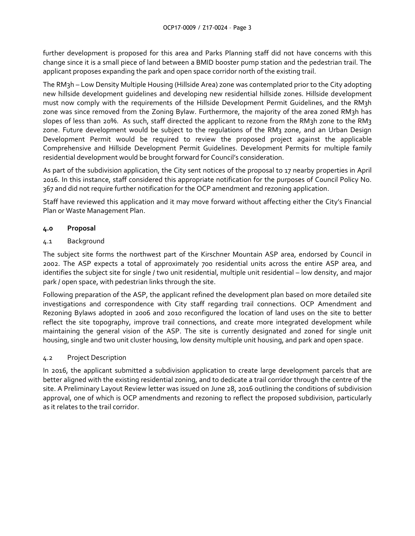further development is proposed for this area and Parks Planning staff did not have concerns with this change since it is a small piece of land between a BMID booster pump station and the pedestrian trail. The applicant proposes expanding the park and open space corridor north of the existing trail.

The RM3h – Low Density Multiple Housing (Hillside Area) zone was contemplated prior to the City adopting new hillside development guidelines and developing new residential hillside zones. Hillside development must now comply with the requirements of the Hillside Development Permit Guidelines, and the RM3h zone was since removed from the Zoning Bylaw. Furthermore, the majority of the area zoned RM3h has slopes of less than 20%. As such, staff directed the applicant to rezone from the RM3h zone to the RM3 zone. Future development would be subject to the regulations of the RM3 zone, and an Urban Design Development Permit would be required to review the proposed project against the applicable Comprehensive and Hillside Development Permit Guidelines. Development Permits for multiple family residential development would be brought forward for Council's consideration.

As part of the subdivision application, the City sent notices of the proposal to 17 nearby properties in April 2016. In this instance, staff considered this appropriate notification for the purposes of Council Policy No. 367 and did not require further notification for the OCP amendment and rezoning application.

Staff have reviewed this application and it may move forward without affecting either the City's Financial Plan or Waste Management Plan.

# **4.0 Proposal**

# 4.1 Background

The subject site forms the northwest part of the Kirschner Mountain ASP area, endorsed by Council in 2002. The ASP expects a total of approximately 700 residential units across the entire ASP area, and identifies the subject site for single / two unit residential, multiple unit residential – low density, and major park / open space, with pedestrian links through the site.

Following preparation of the ASP, the applicant refined the development plan based on more detailed site investigations and correspondence with City staff regarding trail connections. OCP Amendment and Rezoning Bylaws adopted in 2006 and 2010 reconfigured the location of land uses on the site to better reflect the site topography, improve trail connections, and create more integrated development while maintaining the general vision of the ASP. The site is currently designated and zoned for single unit housing, single and two unit cluster housing, low density multiple unit housing, and park and open space.

# 4.2 Project Description

In 2016, the applicant submitted a subdivision application to create large development parcels that are better aligned with the existing residential zoning, and to dedicate a trail corridor through the centre of the site. A Preliminary Layout Review letter was issued on June 28, 2016 outlining the conditions of subdivision approval, one of which is OCP amendments and rezoning to reflect the proposed subdivision, particularly as it relates to the trail corridor.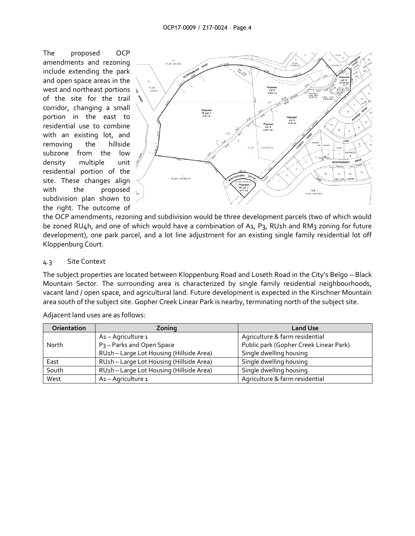The proposed OCP amendments and rezoning include extending the park and open space areas in the west and northeast portions of the site for the trail corridor, changing a small portion in the east to residential use to combine with an existing lot, and removing the hillside subzone from the low density multiple unit residential portion of the site. These changes align with the proposed subdivision plan shown to the right. The outcome of



the OCP amendments, rezoning and subdivision would be three development parcels (two of which would be zoned RU4h, and one of which would have a combination of A1, P3, RU1h and RM3 zoning for future development), one park parcel, and a lot line adjustment for an existing single family residential lot off Kloppenburg Court.

#### 4.3 Site Context

The subject properties are located between Kloppenburg Road and Loseth Road in the City's Belgo – Black Mountain Sector. The surrounding area is characterized by single family residential neighbourhoods, vacant land / open space, and agricultural land. Future development is expected in the Kirschner Mountain area south of the subject site. Gopher Creek Linear Park is nearby, terminating north of the subject site.

| <b>Orientation</b> | Zoning                                   | <b>Land Use</b>                        |
|--------------------|------------------------------------------|----------------------------------------|
|                    | A1-Agriculture 1                         | Agriculture & farm residential         |
| North              | P <sub>3</sub> - Parks and Open Space    | Public park (Gopher Creek Linear Park) |
|                    | RU1h - Large Lot Housing (Hillside Area) | Single dwelling housing                |
| East               | RU1h - Large Lot Housing (Hillside Area) | Single dwelling housing                |
| South              | RU1h - Large Lot Housing (Hillside Area) | Single dwelling housing                |
| West               | A <sub>1</sub> - Agriculture 1           | Agriculture & farm residential         |

Adjacent land uses are as follows: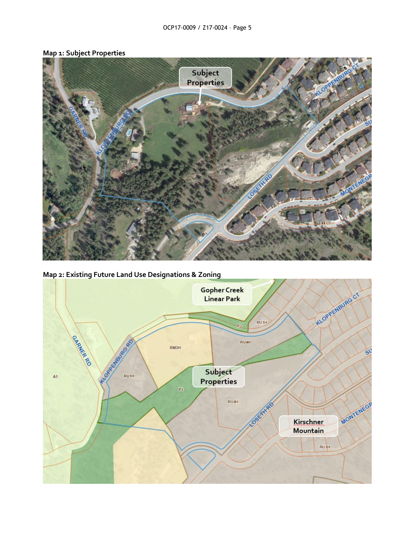

# **Map 1: Subject Properties**

**Map 2: Existing Future Land Use Designations & Zoning**

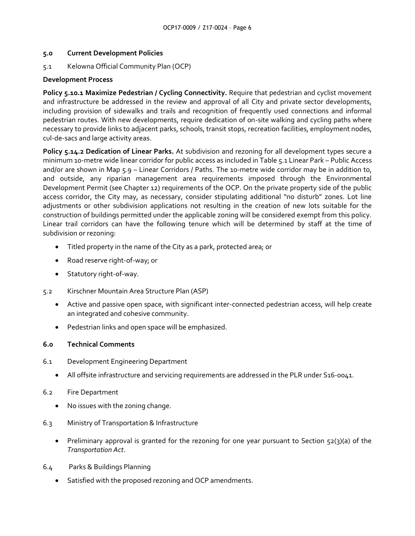#### **5.0 Current Development Policies**

5.1 Kelowna Official Community Plan (OCP)

# **Development Process**

**Policy 5.10.1 Maximize Pedestrian / Cycling Connectivity.** Require that pedestrian and cyclist movement and infrastructure be addressed in the review and approval of all City and private sector developments, including provision of sidewalks and trails and recognition of frequently used connections and informal pedestrian routes. With new developments, require dedication of on-site walking and cycling paths where necessary to provide links to adjacent parks, schools, transit stops, recreation facilities, employment nodes, cul-de-sacs and large activity areas.

**Policy 5.14.2 Dedication of Linear Parks.** At subdivision and rezoning for all development types secure a minimum 10-metre wide linear corridor for public access as included in Table 5.1 Linear Park – Public Access and/or are shown in Map 5.9 – Linear Corridors / Paths. The 10-metre wide corridor may be in addition to, and outside, any riparian management area requirements imposed through the Environmental Development Permit (see Chapter 12) requirements of the OCP. On the private property side of the public access corridor, the City may, as necessary, consider stipulating additional "no disturb" zones. Lot line adjustments or other subdivision applications not resulting in the creation of new lots suitable for the construction of buildings permitted under the applicable zoning will be considered exempt from this policy. Linear trail corridors can have the following tenure which will be determined by staff at the time of subdivision or rezoning:

- Titled property in the name of the City as a park, protected area; or
- Road reserve right-of-way; or
- Statutory right-of-way.
- 5.2 Kirschner Mountain Area Structure Plan (ASP)
	- Active and passive open space, with significant inter-connected pedestrian access, will help create an integrated and cohesive community.
	- Pedestrian links and open space will be emphasized.

# **6.0 Technical Comments**

- 6.1 Development Engineering Department
	- All offsite infrastructure and servicing requirements are addressed in the PLR under S16-0041.
- 6.2 Fire Department
	- No issues with the zoning change.
- 6.3 Ministry of Transportation & Infrastructure
	- Preliminary approval is granted for the rezoning for one year pursuant to Section  $52(3)(a)$  of the *Transportation Act*.
- 6.4 Parks & Buildings Planning
	- Satisfied with the proposed rezoning and OCP amendments.